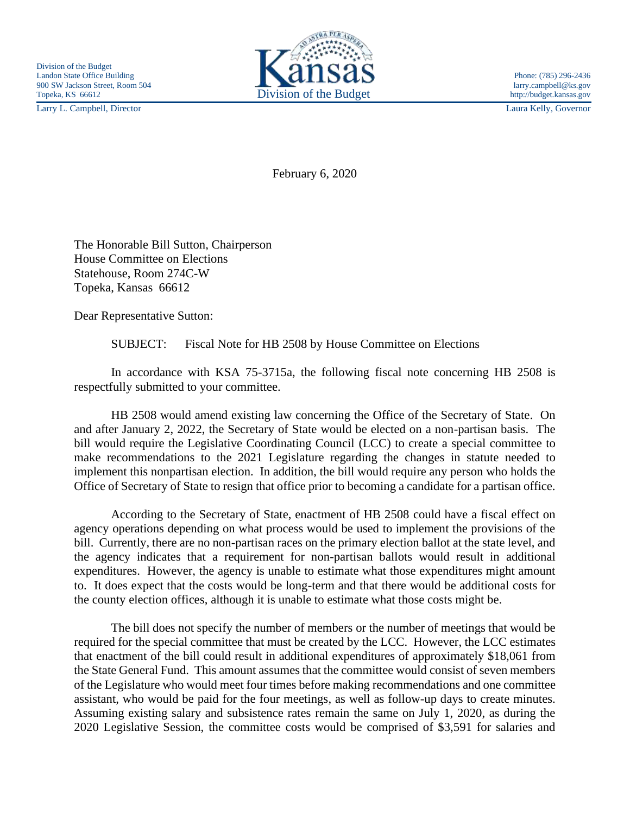Larry L. Campbell, Director Laura Kelly, Governor



February 6, 2020

The Honorable Bill Sutton, Chairperson House Committee on Elections Statehouse, Room 274C-W Topeka, Kansas 66612

Dear Representative Sutton:

SUBJECT: Fiscal Note for HB 2508 by House Committee on Elections

In accordance with KSA 75-3715a, the following fiscal note concerning HB 2508 is respectfully submitted to your committee.

HB 2508 would amend existing law concerning the Office of the Secretary of State. On and after January 2, 2022, the Secretary of State would be elected on a non-partisan basis. The bill would require the Legislative Coordinating Council (LCC) to create a special committee to make recommendations to the 2021 Legislature regarding the changes in statute needed to implement this nonpartisan election. In addition, the bill would require any person who holds the Office of Secretary of State to resign that office prior to becoming a candidate for a partisan office.

According to the Secretary of State, enactment of HB 2508 could have a fiscal effect on agency operations depending on what process would be used to implement the provisions of the bill. Currently, there are no non-partisan races on the primary election ballot at the state level, and the agency indicates that a requirement for non-partisan ballots would result in additional expenditures. However, the agency is unable to estimate what those expenditures might amount to. It does expect that the costs would be long-term and that there would be additional costs for the county election offices, although it is unable to estimate what those costs might be.

The bill does not specify the number of members or the number of meetings that would be required for the special committee that must be created by the LCC. However, the LCC estimates that enactment of the bill could result in additional expenditures of approximately \$18,061 from the State General Fund. This amount assumes that the committee would consist of seven members of the Legislature who would meet four times before making recommendations and one committee assistant, who would be paid for the four meetings, as well as follow-up days to create minutes. Assuming existing salary and subsistence rates remain the same on July 1, 2020, as during the 2020 Legislative Session, the committee costs would be comprised of \$3,591 for salaries and